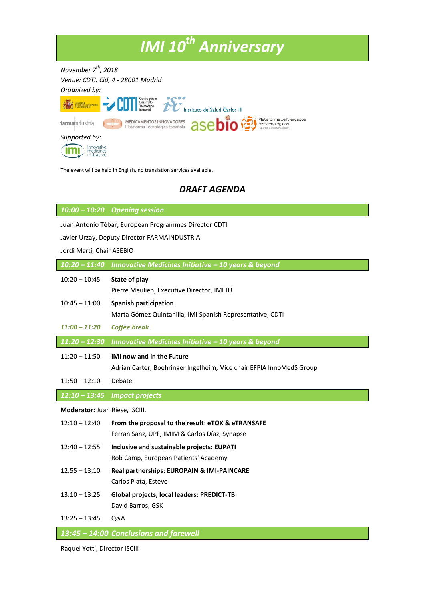## *IMI 10th Anniversary*

*November 7 th , 2018 Venue: CDTI. Cid, 4 - 28001 Madrid Organized by:*





The event will be held in English, no translation services available.

## *DRAFT AGENDA*

*10:00 – 10:20 Opening session*

Juan Antonio Tébar, European Programmes Director CDTI

Javier Urzay, Deputy Director FARMAINDUSTRIA

Jordi Marti, Chair ASEBIO

|  | $10:20 - 11:40$ Innovative Medicines Initiative $-10$ years & beyond |
|--|----------------------------------------------------------------------|
|--|----------------------------------------------------------------------|

| $10:20 - 10:45$                | State of play<br>Pierre Meulien, Executive Director, IMI JU                               |
|--------------------------------|-------------------------------------------------------------------------------------------|
| $10:45 - 11:00$                | <b>Spanish participation</b><br>Marta Gómez Quintanilla, IMI Spanish Representative, CDTI |
| $11:00 - 11:20$                | <b>Coffee break</b>                                                                       |
| $11:20 - 12:30$                | Innovative Medicines Initiative - 10 years & beyond                                       |
| $11:20 - 11:50$                | <b>IMI now and in the Future</b>                                                          |
|                                | Adrian Carter, Boehringer Ingelheim, Vice chair EFPIA InnoMedS Group                      |
| $11:50 - 12:10$                | Debate                                                                                    |
| $12:10 - 13:45$                | <b>Impact projects</b>                                                                    |
| Moderator: Juan Riese, ISCIII. |                                                                                           |
|                                |                                                                                           |
| $12:10 - 12:40$                | From the proposal to the result: eTOX & eTRANSAFE                                         |
|                                | Ferran Sanz, UPF, IMIM & Carlos Díaz, Synapse                                             |
| $12:40 - 12:55$                | Inclusive and sustainable projects: EUPATI                                                |
|                                | Rob Camp, European Patients' Academy                                                      |
| $12:55 - 13:10$                | Real partnerships: EUROPAIN & IMI-PAINCARE                                                |
|                                | Carlos Plata, Esteve                                                                      |
| $13:10 - 13:25$                | Global projects, local leaders: PREDICT-TB                                                |
|                                | David Barros, GSK                                                                         |
| $13:25 - 13:45$                | Q&A                                                                                       |

Raquel Yotti, Director ISCIII